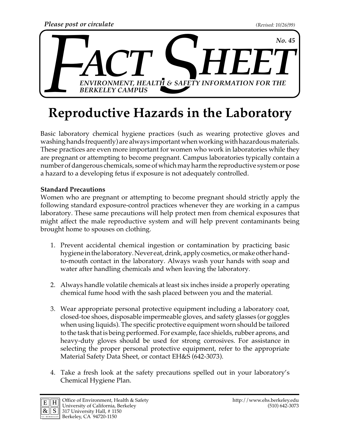

## **Reproductive Hazards in the Laboratory**

Basic laboratory chemical hygiene practices (such as wearing protective gloves and washing hands frequently) are always important when working with hazardous materials. These practices are even more important for women who work in laboratories while they are pregnant or attempting to become pregnant. Campus laboratories typically contain a number of dangerous chemicals, some of which may harm the reproductive system or pose a hazard to a developing fetus if exposure is not adequately controlled.

## **Standard Precautions**

Women who are pregnant or attempting to become pregnant should strictly apply the following standard exposure-control practices whenever they are working in a campus laboratory. These same precautions will help protect men from chemical exposures that might affect the male reproductive system and will help prevent contaminants being brought home to spouses on clothing.

- 1. Prevent accidental chemical ingestion or contamination by practicing basic hygiene in the laboratory. Never eat, drink, apply cosmetics, or make other handto-mouth contact in the laboratory. Always wash your hands with soap and water after handling chemicals and when leaving the laboratory.
- 2. Always handle volatile chemicals at least six inches inside a properly operating chemical fume hood with the sash placed between you and the material.
- 3. Wear appropriate personal protective equipment including a laboratory coat, closed-toe shoes, disposable impermeable gloves, and safety glasses (or goggles when using liquids). The specific protective equipment worn should be tailored to the task that is being performed. For example, face shields, rubber aprons, and heavy-duty gloves should be used for strong corrosives. For assistance in selecting the proper personal protective equipment, refer to the appropriate Material Safety Data Sheet, or contact EH&S (642-3073).
- 4. Take a fresh look at the safety precautions spelled out in your laboratory's Chemical Hygiene Plan.